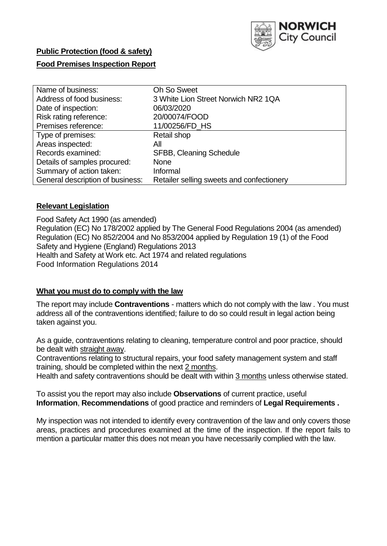

# **Public Protection (food & safety)**

## **Food Premises Inspection Report**

| <b>Oh So Sweet</b>                        |
|-------------------------------------------|
| 3 White Lion Street Norwich NR2 1QA       |
| 06/03/2020                                |
| 20/00074/FOOD                             |
| 11/00256/FD_HS                            |
| Retail shop                               |
| All                                       |
| <b>SFBB, Cleaning Schedule</b>            |
| <b>None</b>                               |
| Informal                                  |
| Retailer selling sweets and confectionery |
|                                           |

## **Relevant Legislation**

Food Safety Act 1990 (as amended) Regulation (EC) No 178/2002 applied by The General Food Regulations 2004 (as amended) Regulation (EC) No 852/2004 and No 853/2004 applied by Regulation 19 (1) of the Food Safety and Hygiene (England) Regulations 2013 Health and Safety at Work etc. Act 1974 and related regulations Food Information Regulations 2014

#### **What you must do to comply with the law**

The report may include **Contraventions** - matters which do not comply with the law . You must address all of the contraventions identified; failure to do so could result in legal action being taken against you.

As a guide, contraventions relating to cleaning, temperature control and poor practice, should be dealt with straight away.

Contraventions relating to structural repairs, your food safety management system and staff training, should be completed within the next 2 months.

Health and safety contraventions should be dealt with within 3 months unless otherwise stated.

To assist you the report may also include **Observations** of current practice, useful **Information**, **Recommendations** of good practice and reminders of **Legal Requirements .**

My inspection was not intended to identify every contravention of the law and only covers those areas, practices and procedures examined at the time of the inspection. If the report fails to mention a particular matter this does not mean you have necessarily complied with the law.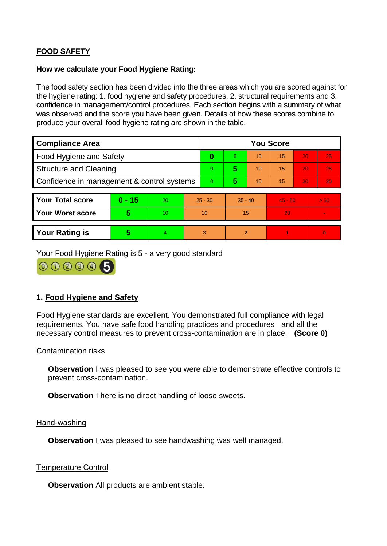# **FOOD SAFETY**

### **How we calculate your Food Hygiene Rating:**

The food safety section has been divided into the three areas which you are scored against for the hygiene rating: 1. food hygiene and safety procedures, 2. structural requirements and 3. confidence in management/control procedures. Each section begins with a summary of what was observed and the score you have been given. Details of how these scores combine to produce your overall food hygiene rating are shown in the table.

| <b>Compliance Area</b>                     |          |    |           | <b>You Score</b> |                |    |           |    |          |  |
|--------------------------------------------|----------|----|-----------|------------------|----------------|----|-----------|----|----------|--|
| Food Hygiene and Safety                    |          |    |           | 0                | 5.             | 10 | 15        | 20 | 25       |  |
| <b>Structure and Cleaning</b>              |          |    |           | $\Omega$         | 5              | 10 | 15        | 20 | 25       |  |
| Confidence in management & control systems |          |    |           | 0                | 5              | 10 | 15        | 20 | 30       |  |
|                                            |          |    |           |                  |                |    |           |    |          |  |
| <b>Your Total score</b>                    | $0 - 15$ | 20 | $25 - 30$ |                  | $35 - 40$      |    | $45 - 50$ |    | > 50     |  |
| <b>Your Worst score</b>                    | 5        | 10 | 10        |                  | 15             |    | 20        |    |          |  |
|                                            |          |    |           |                  |                |    |           |    |          |  |
| <b>Your Rating is</b>                      | 5        | 4. | 3         |                  | $\overline{2}$ |    |           |    | $\Omega$ |  |

Your Food Hygiene Rating is 5 - a very good standard

000005

## **1. Food Hygiene and Safety**

Food Hygiene standards are excellent. You demonstrated full compliance with legal requirements. You have safe food handling practices and procedures and all the necessary control measures to prevent cross-contamination are in place. **(Score 0)**

## Contamination risks

**Observation** I was pleased to see you were able to demonstrate effective controls to prevent cross-contamination.

**Observation** There is no direct handling of loose sweets.

#### Hand-washing

**Observation I** was pleased to see handwashing was well managed.

#### Temperature Control

**Observation** All products are ambient stable.